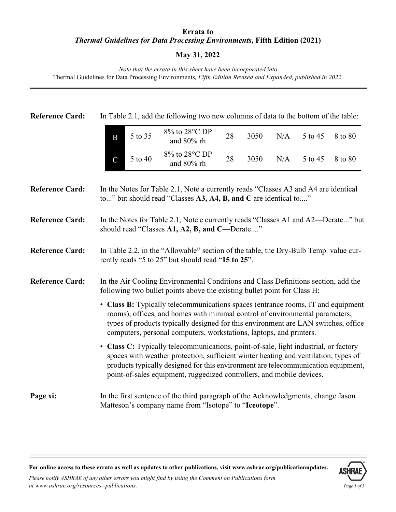## **Errata to** *Thermal Guidelines for Data Processing Environments***, Fifth Edition (2021)**

## **May 31, 2022**

*Note that the errata in this sheet have been incorporated into*  Thermal Guidelines for Data Processing Environments*, Fifth Edition Revised and Expanded, published in 2022.* 

| <b>Reference Card:</b> |                                                                                                                                                                                                                                                                                                                                           | In Table 2.1, add the following two new columns of data to the bottom of the table:                                                                    |    |      |     |         |         |  |
|------------------------|-------------------------------------------------------------------------------------------------------------------------------------------------------------------------------------------------------------------------------------------------------------------------------------------------------------------------------------------|--------------------------------------------------------------------------------------------------------------------------------------------------------|----|------|-----|---------|---------|--|
|                        | 5 to 35<br>B                                                                                                                                                                                                                                                                                                                              | 8% to 28°C DP<br>and 80% rh                                                                                                                            | 28 | 3050 | N/A | 5 to 45 | 8 to 80 |  |
|                        | 5 to 40<br>$\mathbf C$                                                                                                                                                                                                                                                                                                                    | 8% to 28°C DP<br>and 80% rh                                                                                                                            | 28 | 3050 | N/A | 5 to 45 | 8 to 80 |  |
| <b>Reference Card:</b> |                                                                                                                                                                                                                                                                                                                                           | In the Notes for Table 2.1, Note a currently reads "Classes A3 and A4 are identical<br>to" but should read "Classes A3, A4, B, and C are identical to" |    |      |     |         |         |  |
| <b>Reference Card:</b> |                                                                                                                                                                                                                                                                                                                                           | In the Notes for Table 2.1, Note e currently reads "Classes A1 and A2—Derate" but<br>should read "Classes A1, A2, B, and C-Derate"                     |    |      |     |         |         |  |
| <b>Reference Card:</b> |                                                                                                                                                                                                                                                                                                                                           | In Table 2.2, in the "Allowable" section of the table, the Dry-Bulb Temp. value cur-<br>rently reads "5 to 25" but should read "15 to 25".             |    |      |     |         |         |  |
| <b>Reference Card:</b> | In the Air Cooling Environmental Conditions and Class Definitions section, add the<br>following two bullet points above the existing bullet point for Class H:                                                                                                                                                                            |                                                                                                                                                        |    |      |     |         |         |  |
|                        | • Class B: Typically telecommunications spaces (entrance rooms, IT and equipment<br>rooms), offices, and homes with minimal control of environmental parameters;<br>types of products typically designed for this environment are LAN switches, office<br>computers, personal computers, workstations, laptops, and printers.             |                                                                                                                                                        |    |      |     |         |         |  |
|                        | • Class C: Typically telecommunications, point-of-sale, light industrial, or factory<br>spaces with weather protection, sufficient winter heating and ventilation; types of<br>products typically designed for this environment are telecommunication equipment,<br>point-of-sales equipment, ruggedized controllers, and mobile devices. |                                                                                                                                                        |    |      |     |         |         |  |
| Page xi:               |                                                                                                                                                                                                                                                                                                                                           | In the first sentence of the third paragraph of the Acknowledgments, change Jason<br>Matteson's company name from "Isotope" to "Iceotope".             |    |      |     |         |         |  |

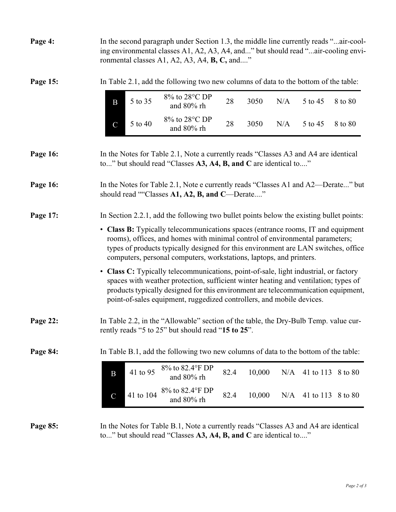| Page 4:  |                                                                                                                                                                                                                                                                                                                               |           | In the second paragraph under Section 1.3, the middle line currently reads "air-cool-<br>ing environmental classes A1, A2, A3, A4, and" but should read "air-cooling envi-<br>ronmental classes A1, A2, A3, A4, <b>B, C</b> , and"                                                                                                        |      |        |     |         |                   |
|----------|-------------------------------------------------------------------------------------------------------------------------------------------------------------------------------------------------------------------------------------------------------------------------------------------------------------------------------|-----------|-------------------------------------------------------------------------------------------------------------------------------------------------------------------------------------------------------------------------------------------------------------------------------------------------------------------------------------------|------|--------|-----|---------|-------------------|
| Page 15: |                                                                                                                                                                                                                                                                                                                               |           | In Table 2.1, add the following two new columns of data to the bottom of the table:                                                                                                                                                                                                                                                       |      |        |     |         |                   |
|          | B                                                                                                                                                                                                                                                                                                                             | 5 to 35   | 8% to 28°C DP<br>and 80% rh                                                                                                                                                                                                                                                                                                               | 28   | 3050   | N/A | 5 to 45 | 8 to 80           |
|          | $\overline{C}$                                                                                                                                                                                                                                                                                                                | 5 to 40   | 8% to 28°C DP<br>and 80% rh                                                                                                                                                                                                                                                                                                               | 28   | 3050   | N/A | 5 to 45 | 8 to 80           |
| Page 16: |                                                                                                                                                                                                                                                                                                                               |           | In the Notes for Table 2.1, Note a currently reads "Classes A3 and A4 are identical<br>to" but should read "Classes A3, A4, B, and C are identical to"                                                                                                                                                                                    |      |        |     |         |                   |
| Page 16: | In the Notes for Table 2.1, Note e currently reads "Classes A1 and A2—Derate" but<br>should read ""Classes A1, A2, B, and C—Derate"                                                                                                                                                                                           |           |                                                                                                                                                                                                                                                                                                                                           |      |        |     |         |                   |
| Page 17: |                                                                                                                                                                                                                                                                                                                               |           | In Section 2.2.1, add the following two bullet points below the existing bullet points:                                                                                                                                                                                                                                                   |      |        |     |         |                   |
|          | • Class B: Typically telecommunications spaces (entrance rooms, IT and equipment<br>rooms), offices, and homes with minimal control of environmental parameters;<br>types of products typically designed for this environment are LAN switches, office<br>computers, personal computers, workstations, laptops, and printers. |           |                                                                                                                                                                                                                                                                                                                                           |      |        |     |         |                   |
|          |                                                                                                                                                                                                                                                                                                                               |           | • Class C: Typically telecommunications, point-of-sale, light industrial, or factory<br>spaces with weather protection, sufficient winter heating and ventilation; types of<br>products typically designed for this environment are telecommunication equipment,<br>point-of-sales equipment, ruggedized controllers, and mobile devices. |      |        |     |         |                   |
| Page 22: |                                                                                                                                                                                                                                                                                                                               |           | In Table 2.2, in the "Allowable" section of the table, the Dry-Bulb Temp. value cur-<br>rently reads "5 to 25" but should read "15 to 25".                                                                                                                                                                                                |      |        |     |         |                   |
| Page 84: |                                                                                                                                                                                                                                                                                                                               |           | In Table B.1, add the following two new columns of data to the bottom of the table:                                                                                                                                                                                                                                                       |      |        |     |         |                   |
|          | B                                                                                                                                                                                                                                                                                                                             | 41 to 95  | 8% to 82.4°F DP<br>and 80% rh                                                                                                                                                                                                                                                                                                             | 82.4 | 10,000 | N/A |         | 41 to 113 8 to 80 |
|          | $\mathcal{C}$                                                                                                                                                                                                                                                                                                                 | 41 to 104 | 8% to 82.4°F DP<br>and 80% rh                                                                                                                                                                                                                                                                                                             | 82.4 | 10,000 | N/A |         | 41 to 113 8 to 80 |
| Page 85: |                                                                                                                                                                                                                                                                                                                               |           | In the Notes for Table B.1, Note a currently reads "Classes A3 and A4 are identical<br>to" but should read "Classes A3, A4, B, and C are identical to"                                                                                                                                                                                    |      |        |     |         |                   |